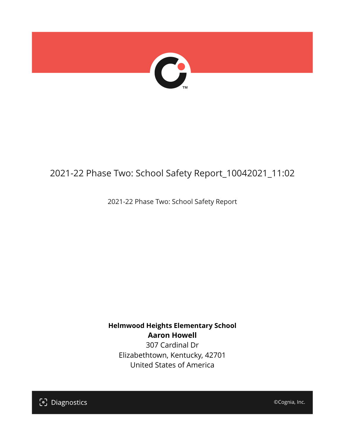

## 2021-22 Phase Two: School Safety Report\_10042021\_11:02

2021-22 Phase Two: School Safety Report

**Helmwood Heights Elementary School Aaron Howell** 307 Cardinal Dr

Elizabethtown, Kentucky, 42701 United States of America

[၁] Diagnostics

©Cognia, Inc.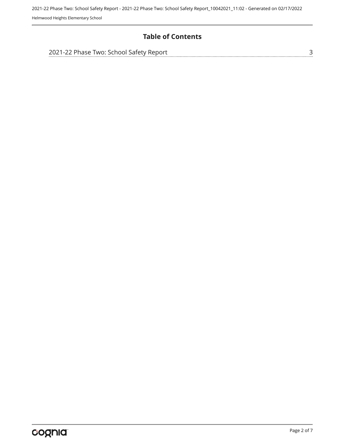### **Table of Contents**

| 2021-22 Phase Two: School Safety Report |  |
|-----------------------------------------|--|
|                                         |  |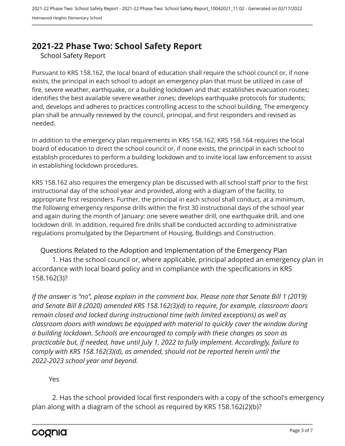## <span id="page-2-0"></span>**2021-22 Phase Two: School Safety Report**

School Safety Report

Pursuant to KRS 158.162, the local board of education shall require the school council or, if none exists, the principal in each school to adopt an emergency plan that must be utilized in case of fire, severe weather, earthquake, or a building lockdown and that: establishes evacuation routes; identifies the best available severe weather zones; develops earthquake protocols for students; and, develops and adheres to practices controlling access to the school building. The emergency plan shall be annually reviewed by the council, principal, and first responders and revised as needed.

In addition to the emergency plan requirements in KRS 158.162, KRS 158.164 requires the local board of education to direct the school council or, if none exists, the principal in each school to establish procedures to perform a building lockdown and to invite local law enforcement to assist in establishing lockdown procedures.

KRS 158.162 also requires the emergency plan be discussed with all school staff prior to the first instructional day of the school year and provided, along with a diagram of the facility, to appropriate first responders. Further, the principal in each school shall conduct, at a minimum, the following emergency response drills within the first 30 instructional days of the school year and again during the month of January: one severe weather drill, one earthquake drill, and one lockdown drill. In addition, required fire drills shall be conducted according to administrative regulations promulgated by the Department of Housing, Buildings and Construction.

Questions Related to the Adoption and Implementation of the Emergency Plan 1. Has the school council or, where applicable, principal adopted an emergency plan in accordance with local board policy and in compliance with the specifications in KRS 158.162(3)?

*If the answer is "no", please explain in the comment box. Please note that Senate Bill 1 (2019) and Senate Bill 8 (2020) amended KRS 158.162(3)(d) to require, for example, classroom doors remain closed and locked during instructional time (with limited exceptions) as well as classroom doors with windows be equipped with material to quickly cover the window during a building lockdown. Schools are encouraged to comply with these changes as soon as practicable but, if needed, have until July 1, 2022 to fully implement. Accordingly, failure to comply with KRS 158.162(3)(d), as amended, should not be reported herein until the 2022-2023 school year and beyond.*

#### Yes

2. Has the school provided local first responders with a copy of the school's emergency plan along with a diagram of the school as required by KRS 158.162(2)(b)?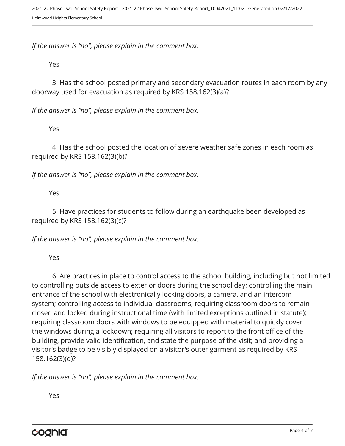*If the answer is "no", please explain in the comment box.*

Yes

3. Has the school posted primary and secondary evacuation routes in each room by any doorway used for evacuation as required by KRS 158.162(3)(a)?

*If the answer is "no", please explain in the comment box.*

Yes

4. Has the school posted the location of severe weather safe zones in each room as required by KRS 158.162(3)(b)?

*If the answer is "no", please explain in the comment box.*

Yes

5. Have practices for students to follow during an earthquake been developed as required by KRS 158.162(3)(c)?

*If the answer is "no", please explain in the comment box.*

Yes

6. Are practices in place to control access to the school building, including but not limited to controlling outside access to exterior doors during the school day; controlling the main entrance of the school with electronically locking doors, a camera, and an intercom system; controlling access to individual classrooms; requiring classroom doors to remain closed and locked during instructional time (with limited exceptions outlined in statute); requiring classroom doors with windows to be equipped with material to quickly cover the windows during a lockdown; requiring all visitors to report to the front office of the building, provide valid identification, and state the purpose of the visit; and providing a visitor's badge to be visibly displayed on a visitor's outer garment as required by KRS 158.162(3)(d)?

*If the answer is "no", please explain in the comment box.*

Yes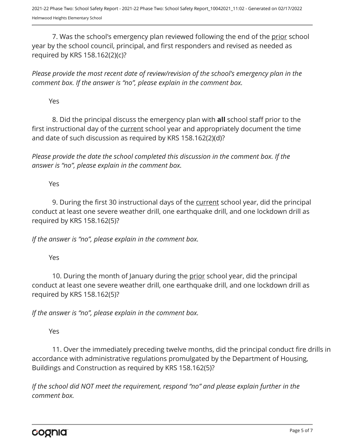7. Was the school's emergency plan reviewed following the end of the prior school year by the school council, principal, and first responders and revised as needed as required by KRS 158.162(2)(c)?

*Please provide the most recent date of review/revision of the school's emergency plan in the comment box. If the answer is "no", please explain in the comment box.* 

Yes

8. Did the principal discuss the emergency plan with **all** school staff prior to the first instructional day of the current school year and appropriately document the time and date of such discussion as required by KRS 158.162(2)(d)?

*Please provide the date the school completed this discussion in the comment box. If the answer is "no", please explain in the comment box.*

Yes

9. During the first 30 instructional days of the current school year, did the principal conduct at least one severe weather drill, one earthquake drill, and one lockdown drill as required by KRS 158.162(5)?

*If the answer is "no", please explain in the comment box.*

Yes

10. During the month of January during the prior school year, did the principal conduct at least one severe weather drill, one earthquake drill, and one lockdown drill as required by KRS 158.162(5)?

*If the answer is "no", please explain in the comment box.*

Yes

11. Over the immediately preceding twelve months, did the principal conduct fire drills in accordance with administrative regulations promulgated by the Department of Housing, Buildings and Construction as required by KRS 158.162(5)?

*If the school did NOT meet the requirement, respond "no" and please explain further in the comment box.* 

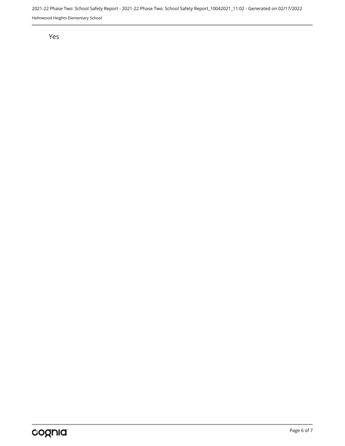2021-22 Phase Two: School Safety Report - 2021-22 Phase Two: School Safety Report\_10042021\_11:02 - Generated on 02/17/2022 Helmwood Heights Elementary School

Yes